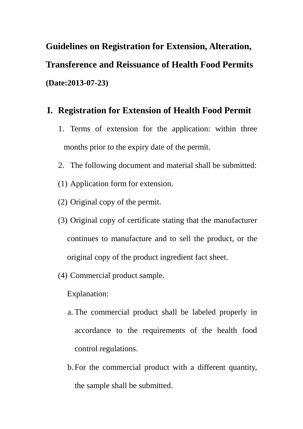**Guidelines on Registration for Extension, Alteration, Transference and Reissuance of Health Food Permits (Date:2013-07-23)**

#### **I. Registration for Extension of Health Food Permit**

- 1. Terms of extension for the application: within three months prior to the expiry date of the permit.
- 2. The following document and material shall be submitted:
- (1) Application form for extension.
- (2) Original copy of the permit.
- (3) Original copy of certificate stating that the manufacturer continues to manufacture and to sell the product, or the original copy of the product ingredient fact sheet.
- (4) Commercial product sample.

Explanation:

- a. The commercial product shall be labeled properly in accordance to the requirements of the health food control regulations.
- b.For the commercial product with a different quantity, the sample shall be submitted.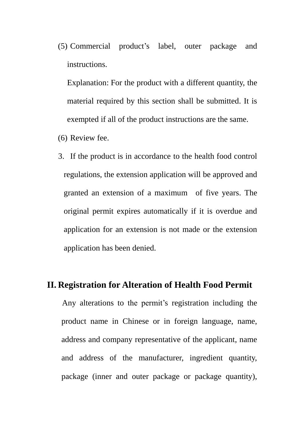(5) Commercial product's label, outer package and instructions.

Explanation: For the product with a different quantity, the material required by this section shall be submitted. It is exempted if all of the product instructions are the same.

- (6) Review fee.
- 3. If the product is in accordance to the health food control regulations, the extension application will be approved and granted an extension of a maximum of five years. The original permit expires automatically if it is overdue and application for an extension is not made or the extension application has been denied.

#### **II. Registration for Alteration of Health Food Permit**

Any alterations to the permit's registration including the product name in Chinese or in foreign language, name, address and company representative of the applicant, name and address of the manufacturer, ingredient quantity, package (inner and outer package or package quantity),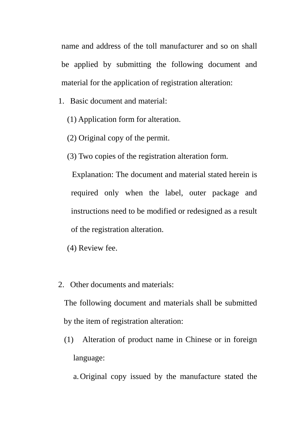name and address of the toll manufacturer and so on shall be applied by submitting the following document and material for the application of registration alteration:

- 1. Basic document and material:
	- (1) Application form for alteration.
	- (2) Original copy of the permit.
	- (3) Two copies of the registration alteration form.

Explanation: The document and material stated herein is required only when the label, outer package and instructions need to be modified or redesigned as a result of the registration alteration.

- (4) Review fee.
- 2. Other documents and materials:

The following document and materials shall be submitted by the item of registration alteration:

- (1) Alteration of product name in Chinese or in foreign language:
	- a.Original copy issued by the manufacture stated the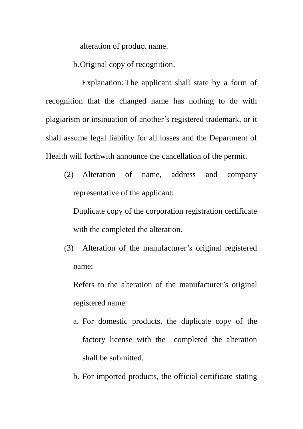alteration of product name.

b.Original copy of recognition.

Explanation: The applicant shall state by a form of recognition that the changed name has nothing to do with plagiarism or insinuation of another's registered trademark, or it shall assume legal liability for all losses and the Department of Health will forthwith announce the cancellation of the permit.

(2) Alteration of name, address and company representative of the applicant:

Duplicate copy of the corporation registration certificate with the completed the alteration.

(3) Alteration of the manufacturer's original registered name:

Refers to the alteration of the manufacturer's original registered name.

- a. For domestic products, the duplicate copy of the factory license with the completed the alteration shall be submitted.
- b. For imported products, the official certificate stating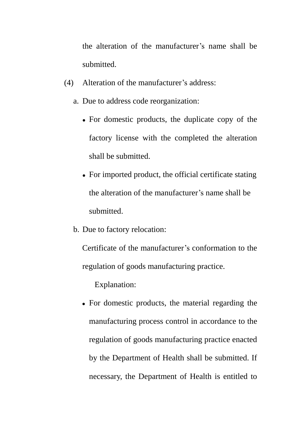the alteration of the manufacturer's name shall be submitted.

- (4) Alteration of the manufacturer's address:
	- a. Due to address code reorganization:
		- For domestic products, the duplicate copy of the factory license with the completed the alteration shall be submitted.
		- For imported product, the official certificate stating the alteration of the manufacturer's name shall be submitted.
	- b. Due to factory relocation:

Certificate of the manufacturer's conformation to the regulation of goods manufacturing practice.

Explanation:

 For domestic products, the material regarding the manufacturing process control in accordance to the regulation of goods manufacturing practice enacted by the Department of Health shall be submitted. If necessary, the Department of Health is entitled to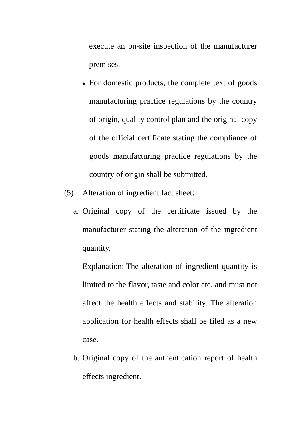execute an on-site inspection of the manufacturer premises.

- For domestic products, the complete text of goods manufacturing practice regulations by the country of origin, quality control plan and the original copy of the official certificate stating the compliance of goods manufacturing practice regulations by the country of origin shall be submitted.
- (5) Alteration of ingredient fact sheet:
	- a. Original copy of the certificate issued by the manufacturer stating the alteration of the ingredient quantity.

Explanation: The alteration of ingredient quantity is limited to the flavor, taste and color etc. and must not affect the health effects and stability. The alteration application for health effects shall be filed as a new case.

b. Original copy of the authentication report of health effects ingredient.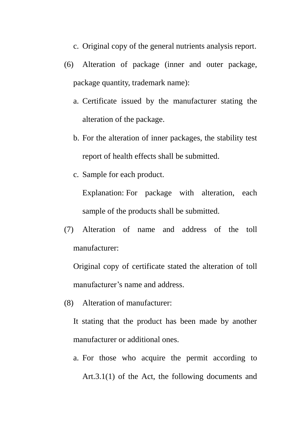- c. Original copy of the general nutrients analysis report.
- (6) Alteration of package (inner and outer package, package quantity, trademark name):
	- a. Certificate issued by the manufacturer stating the alteration of the package.
	- b. For the alteration of inner packages, the stability test report of health effects shall be submitted.
	- c. Sample for each product.

Explanation: For package with alteration, each sample of the products shall be submitted.

(7) Alteration of name and address of the toll manufacturer:

Original copy of certificate stated the alteration of toll manufacturer's name and address.

(8) Alteration of manufacturer:

It stating that the product has been made by another manufacturer or additional ones.

a. For those who acquire the permit according to Art.3.1(1) of the Act, the following documents and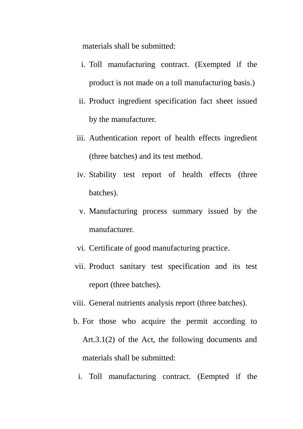materials shall be submitted:

- i. Toll manufacturing contract. (Exempted if the product is not made on a toll manufacturing basis.)
- ii. Product ingredient specification fact sheet issued by the manufacturer.
- iii. Authentication report of health effects ingredient (three batches) and its test method.
- iv. Stability test report of health effects (three batches).
- v. Manufacturing process summary issued by the manufacturer.
- vi. Certificate of good manufacturing practice.
- vii. Product sanitary test specification and its test report (three batches).
- viii. General nutrients analysis report (three batches).
- b. For those who acquire the permit according to Art.3.1(2) of the Act, the following documents and materials shall be submitted:
	- i. Toll manufacturing contract. (Eempted if the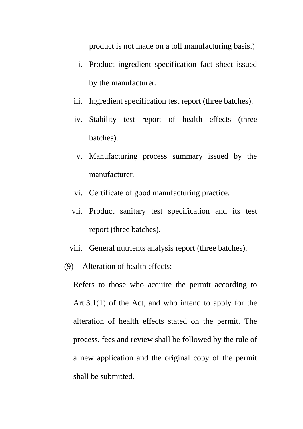product is not made on a toll manufacturing basis.)

- ii. Product ingredient specification fact sheet issued by the manufacturer.
- iii. Ingredient specification test report (three batches).
- iv. Stability test report of health effects (three batches).
- v. Manufacturing process summary issued by the manufacturer.
- vi. Certificate of good manufacturing practice.
- vii. Product sanitary test specification and its test report (three batches).
- viii. General nutrients analysis report (three batches).
- (9) Alteration of health effects:

Refers to those who acquire the permit according to Art.3.1(1) of the Act, and who intend to apply for the alteration of health effects stated on the permit. The process, fees and review shall be followed by the rule of a new application and the original copy of the permit shall be submitted.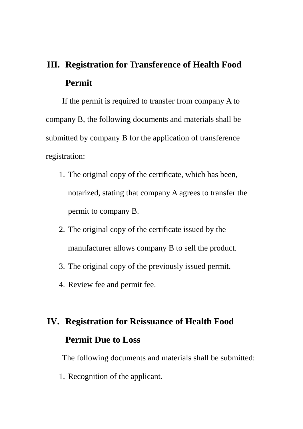### **III. Registration for Transference of Health Food Permit**

If the permit is required to transfer from company A to company B, the following documents and materials shall be submitted by company B for the application of transference registration:

- 1. The original copy of the certificate, which has been, notarized, stating that company A agrees to transfer the permit to company B.
- 2. The original copy of the certificate issued by the manufacturer allows company B to sell the product.
- 3. The original copy of the previously issued permit.
- 4. Review fee and permit fee.

## **IV. Registration for Reissuance of Health Food Permit Due to Loss**

The following documents and materials shall be submitted:

1. Recognition of the applicant.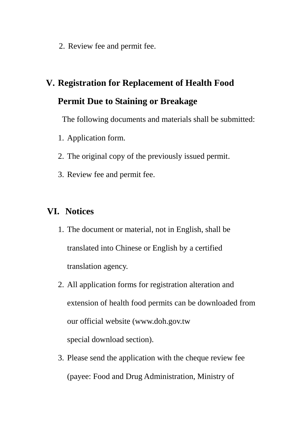2. Review fee and permit fee.

# **V. Registration for Replacement of Health Food Permit Due to Staining or Breakage**

The following documents and materials shall be submitted:

- 1. Application form.
- 2. The original copy of the previously issued permit.
- 3. Review fee and permit fee.

#### **VI. Notices**

- 1. The document or material, not in English, shall be translated into Chinese or English by a certified translation agency.
- 2. All application forms for registration alteration and extension of health food permits can be downloaded from our official website [\(www.doh.gov.tw](http://www.doh.gov.tw/) special download section).
- 3. Please send the application with the cheque review fee (payee: Food and Drug Administration, Ministry of